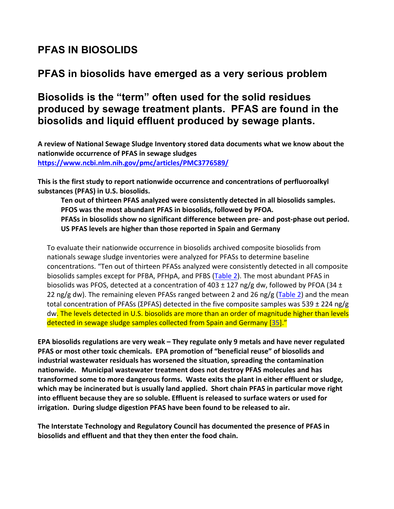# **PFAS IN BIOSOLIDS**

### **PFAS in biosolids have emerged as a very serious problem**

## **Biosolids is the "term" often used for the solid residues produced by sewage treatment plants. PFAS are found in the biosolids and liquid effluent produced by sewage plants.**

A review of National Sewage Sludge Inventory stored data documents what we know about the nationwide occurrence of PFAS in sewage sludges **https://www.ncbi.nlm.nih.gov/pmc/articles/PMC3776589/** 

This is the first study to report nationwide occurrence and concentrations of perfluoroalkyl substances (PFAS) in U.S. biosolids.

Ten out of thirteen PFAS analyzed were consistently detected in all biosolids samples. PFOS was the most abundant PFAS in biosolids, followed by PFOA. PFASs in biosolids show no significant difference between pre- and post-phase out period. **US PFAS levels are higher than those reported in Spain and Germany** 

To evaluate their nationwide occurrence in biosolids archived composite biosolids from nationals sewage sludge inventories were analyzed for PFASs to determine baseline concentrations. "Ten out of thirteen PFASs analyzed were consistently detected in all composite biosolids samples except for PFBA, PFHpA, and PFBS (Table 2). The most abundant PFAS in biosolids was PFOS, detected at a concentration of 403  $\pm$  127 ng/g dw, followed by PFOA (34  $\pm$ 22 ng/g dw). The remaining eleven PFASs ranged between 2 and 26 ng/g (Table 2) and the mean total concentration of PFASs (ΣPFAS) detected in the five composite samples was 539  $\pm$  224 ng/g dw. The levels detected in U.S. biosolids are more than an order of magnitude higher than levels detected in sewage sludge samples collected from Spain and Germany [35]."

**EPA** biosolids regulations are very weak – They regulate only 9 metals and have never regulated **PFAS** or most other toxic chemicals. EPA promotion of "beneficial reuse" of biosolids and industrial wastewater residuals has worsened the situation, spreading the contamination **nationwide.** Municipal wastewater treatment does not destroy PFAS molecules and has **transformed some to more dangerous forms.** Waste exits the plant in either effluent or sludge, which may be incinerated but is usually land applied. Short chain PFAS in particular move right into effluent because they are so soluble. Effluent is released to surface waters or used for **irrigation.** During sludge digestion PFAS have been found to be released to air.

The Interstate Technology and Regulatory Council has documented the presence of PFAS in biosolids and effluent and that they then enter the food chain.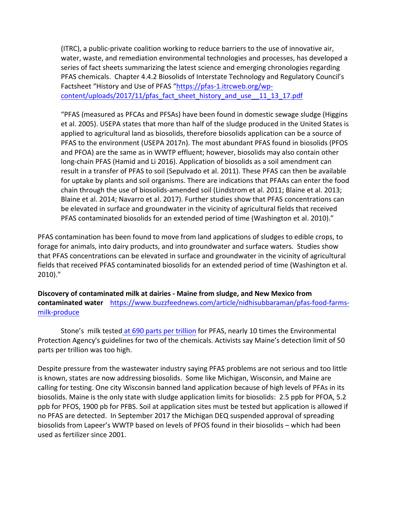(ITRC), a public-private coalition working to reduce barriers to the use of innovative air, water, waste, and remediation environmental technologies and processes, has developed a series of fact sheets summarizing the latest science and emerging chronologies regarding PFAS chemicals. Chapter 4.4.2 Biosolids of Interstate Technology and Regulatory Council's Factsheet "History and Use of PFAS "https://pfas-1.itrcweb.org/wpcontent/uploads/2017/11/pfas\_fact\_sheet\_history\_and\_use\_\_11\_13\_17.pdf

"PFAS (measured as PFCAs and PFSAs) have been found in domestic sewage sludge (Higgins et al. 2005). USEPA states that more than half of the sludge produced in the United States is applied to agricultural land as biosolids, therefore biosolids application can be a source of PFAS to the environment (USEPA 2017n). The most abundant PFAS found in biosolids (PFOS and PFOA) are the same as in WWTP effluent; however, biosolids may also contain other long-chain PFAS (Hamid and Li 2016). Application of biosolids as a soil amendment can result in a transfer of PFAS to soil (Sepulvado et al. 2011). These PFAS can then be available for uptake by plants and soil organisms. There are indications that PFAAs can enter the food chain through the use of biosolids-amended soil (Lindstrom et al. 2011; Blaine et al. 2013; Blaine et al. 2014; Navarro et al. 2017). Further studies show that PFAS concentrations can be elevated in surface and groundwater in the vicinity of agricultural fields that received PFAS contaminated biosolids for an extended period of time (Washington et al. 2010)."

PFAS contamination has been found to move from land applications of sludges to edible crops, to forage for animals, into dairy products, and into groundwater and surface waters. Studies show that PFAS concentrations can be elevated in surface and groundwater in the vicinity of agricultural fields that received PFAS contaminated biosolids for an extended period of time (Washington et al. 2010)."

Discovery of contaminated milk at dairies - Maine from sludge, and New Mexico from **contaminated water** https://www.buzzfeednews.com/article/nidhisubbaraman/pfas-food-farmsmilk-produce

Stone's milk tested at 690 parts per trillion for PFAS, nearly 10 times the Environmental Protection Agency's guidelines for two of the chemicals. Activists say Maine's detection limit of 50 parts per trillion was too high.

Despite pressure from the wastewater industry saying PFAS problems are not serious and too little is known, states are now addressing biosolids. Some like Michigan, Wisconsin, and Maine are calling for testing. One city Wisconsin banned land application because of high levels of PFAs in its biosolids. Maine is the only state with sludge application limits for biosolids: 2.5 ppb for PFOA, 5.2 ppb for PFOS, 1900 pb for PFBS. Soil at application sites must be tested but application is allowed if no PFAS are detected. In September 2017 the Michigan DEQ suspended approval of spreading biosolids from Lapeer's WWTP based on levels of PFOS found in their biosolids – which had been used as fertilizer since 2001.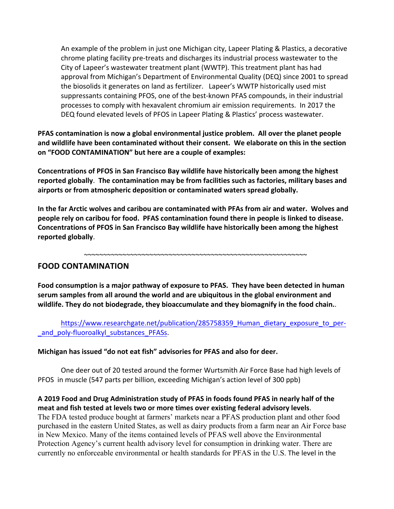An example of the problem in just one Michigan city, Lapeer Plating & Plastics, a decorative chrome plating facility pre-treats and discharges its industrial process wastewater to the City of Lapeer's wastewater treatment plant (WWTP). This treatment plant has had approval from Michigan's Department of Environmental Quality (DEQ) since 2001 to spread the biosolids it generates on land as fertilizer. Lapeer's WWTP historically used mist suppressants containing PFOS, one of the best-known PFAS compounds, in their industrial processes to comply with hexavalent chromium air emission requirements. In 2017 the DEQ found elevated levels of PFOS in Lapeer Plating & Plastics' process wastewater.

PFAS contamination is now a global environmental justice problem. All over the planet people and wildlife have been contaminated without their consent. We elaborate on this in the section **on** "FOOD CONTAMINATION" but here are a couple of examples:

Concentrations of PFOS in San Francisco Bay wildlife have historically been among the highest reported globally. The contamination may be from facilities such as factories, military bases and airports or from atmospheric deposition or contaminated waters spread globally.

In the far Arctic wolves and caribou are contaminated with PFAs from air and water. Wolves and people rely on caribou for food. PFAS contamination found there in people is linked to disease. Concentrations of PFOS in San Francisco Bay wildlife have historically been among the highest **reported globally**. 

~~~~~~~~~~~~~~~~~~~~~~~~~~~~~~~~~~~~~~~~~~~~~~~~~~~~~~~~~~

#### **FOOD CONTAMINATION**

Food consumption is a major pathway of exposure to PFAS. They have been detected in human serum samples from all around the world and are ubiquitous in the global environment and wildlife. They do not biodegrade, they bioaccumulate and they biomagnify in the food chain..

https://www.researchgate.net/publication/285758359\_Human\_dietary\_exposure\_to\_per and poly-fluoroalkyl substances PFASs.

#### Michigan has issued "do not eat fish" advisories for PFAS and also for deer.

One deer out of 20 tested around the former Wurtsmith Air Force Base had high levels of PFOS in muscle (547 parts per billion, exceeding Michigan's action level of 300 ppb)

#### A 2019 Food and Drug Administration study of PFAS in foods found PFAS in nearly half of the meat and fish tested at levels two or more times over existing federal advisory levels.

The FDA tested produce bought at farmers' markets near a PFAS production plant and other food purchased in the eastern United States, as well as dairy products from a farm near an Air Force base in New Mexico. Many of the items contained levels of PFAS well above the Environmental Protection Agency's current health advisory level for consumption in drinking water. There are currently no enforceable environmental or health standards for PFAS in the U.S. The level in the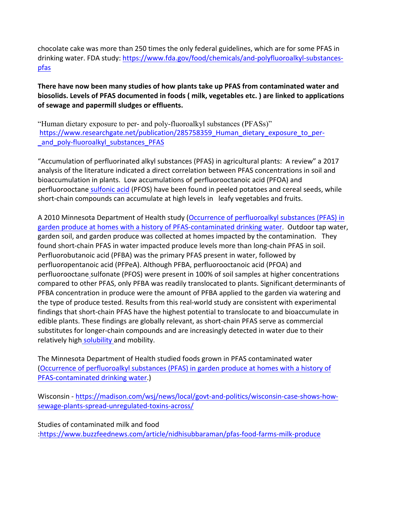chocolate cake was more than 250 times the only federal guidelines, which are for some PFAS in drinking water. FDA study: https://www.fda.gov/food/chemicals/and-polyfluoroalkyl-substancespfas 

There have now been many studies of how plants take up PFAS from contaminated water and biosolids. Levels of PFAS documented in foods (*milk, vegetables etc.)* are linked to applications of sewage and papermill sludges or effluents.

"Human dietary exposure to per- and poly-fluoroalkyl substances (PFASs)" https://www.researchgate.net/publication/285758359 Human dietary exposure to perand poly-fluoroalkyl substances PFAS

"Accumulation of perfluorinated alkyl substances (PFAS) in agricultural plants: A review" a 2017 analysis of the literature indicated a direct correlation between PFAS concentrations in soil and bioaccumulation in plants. Low accumulations of perfluorooctanoic acid (PFOA) and perfluorooctane sulfonic acid (PFOS) have been found in peeled potatoes and cereal seeds, while short-chain compounds can accumulate at high levels in leafy vegetables and fruits.

A 2010 Minnesota Department of Health study (Occurrence of perfluoroalkyl substances (PFAS) in garden produce at homes with a history of PFAS-contaminated drinking water. Outdoor tap water, garden soil, and garden produce was collected at homes impacted by the contamination. They found short-chain PFAS in water impacted produce levels more than long-chain PFAS in soil. Perfluorobutanoic acid (PFBA) was the primary PFAS present in water, followed by perfluoropentanoic acid (PFPeA). Although PFBA, perfluorooctanoic acid (PFOA) and perfluorooctane sulfonate (PFOS) were present in 100% of soil samples at higher concentrations compared to other PFAS, only PFBA was readily translocated to plants. Significant determinants of PFBA concentration in produce were the amount of PFBA applied to the garden via watering and the type of produce tested. Results from this real-world study are consistent with experimental findings that short-chain PFAS have the highest potential to translocate to and bioaccumulate in edible plants. These findings are globally relevant, as short-chain PFAS serve as commercial substitutes for longer-chain compounds and are increasingly detected in water due to their relatively high solubility and mobility.

The Minnesota Department of Health studied foods grown in PFAS contaminated water (Occurrence of perfluoroalkyl substances (PFAS) in garden produce at homes with a history of PFAS-contaminated drinking water.)

Wisconsin - https://madison.com/wsj/news/local/govt-and-politics/wisconsin-case-shows-howsewage-plants-spread-unregulated-toxins-across/

Studies of contaminated milk and food :https://www.buzzfeednews.com/article/nidhisubbaraman/pfas-food-farms-milk-produce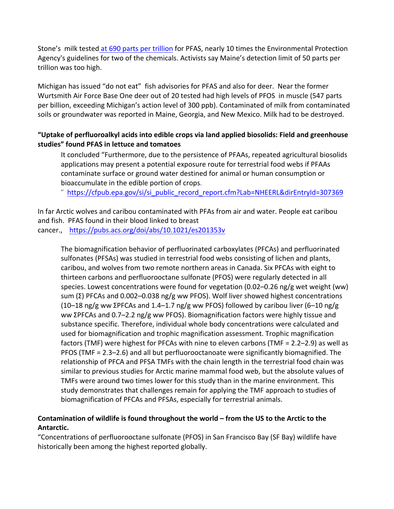Stone's milk tested at 690 parts per trillion for PFAS, nearly 10 times the Environmental Protection Agency's guidelines for two of the chemicals. Activists say Maine's detection limit of 50 parts per trillion was too high.

Michigan has issued "do not eat" fish advisories for PFAS and also for deer. Near the former Wurtsmith Air Force Base One deer out of 20 tested had high levels of PFOS in muscle (547 parts per billion, exceeding Michigan's action level of 300 ppb). Contaminated of milk from contaminated soils or groundwater was reported in Maine, Georgia, and New Mexico. Milk had to be destroyed.

#### "Uptake of perfluoroalkyl acids into edible crops via land applied biosolids: Field and greenhouse studies" found PFAS in lettuce and tomatoes

It concluded "Furthermore, due to the persistence of PFAAs, repeated agricultural biosolids applications may present a potential exposure route for terrestrial food webs if PFAAs contaminate surface or ground water destined for animal or human consumption or bioaccumulate in the edible portion of crops.

" https://cfpub.epa.gov/si/si\_public\_record\_report.cfm?Lab=NHEERL&dirEntryId=307369

In far Arctic wolves and caribou contaminated with PFAs from air and water. People eat caribou and fish. PFAS found in their blood linked to breast

cancer., https://pubs.acs.org/doi/abs/10.1021/es201353v

The biomagnification behavior of perfluorinated carboxylates (PFCAs) and perfluorinated sulfonates (PFSAs) was studied in terrestrial food webs consisting of lichen and plants, caribou, and wolves from two remote northern areas in Canada. Six PFCAs with eight to thirteen carbons and perfluorooctane sulfonate (PFOS) were regularly detected in all species. Lowest concentrations were found for vegetation  $(0.02-0.26 \text{ ng/g wet weight}$  (ww) sum  $(Σ)$  PFCAs and 0.002–0.038 ng/g ww PFOS). Wolf liver showed highest concentrations (10–18 ng/g ww ΣPFCAs and 1.4–1.7 ng/g ww PFOS) followed by caribou liver (6–10 ng/g ww ΣPFCAs and 0.7–2.2 ng/g ww PFOS). Biomagnification factors were highly tissue and substance specific. Therefore, individual whole body concentrations were calculated and used for biomagnification and trophic magnification assessment. Trophic magnification factors (TMF) were highest for PFCAs with nine to eleven carbons (TMF =  $2.2-2.9$ ) as well as PFOS (TMF = 2.3–2.6) and all but perfluorooctanoate were significantly biomagnified. The relationship of PFCA and PFSA TMFs with the chain length in the terrestrial food chain was similar to previous studies for Arctic marine mammal food web, but the absolute values of TMFs were around two times lower for this study than in the marine environment. This study demonstrates that challenges remain for applying the TMF approach to studies of biomagnification of PFCAs and PFSAs, especially for terrestrial animals.

#### Contamination of wildlife is found throughout the world - from the US to the Arctic to the **Antarctic.**

"Concentrations of perfluorooctane sulfonate (PFOS) in San Francisco Bay (SF Bay) wildlife have historically been among the highest reported globally.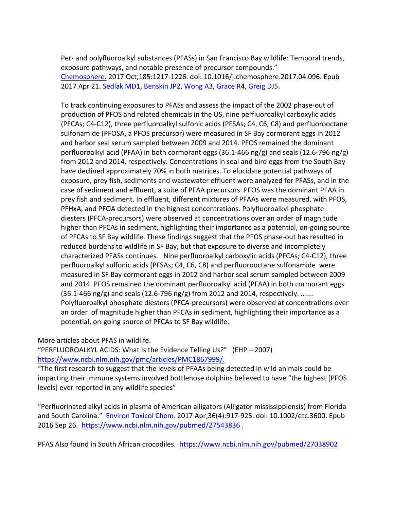Per- and polyfluoroalkyl substances (PFASs) in San Francisco Bay wildlife: Temporal trends, exposure pathways, and notable presence of precursor compounds." Chemosphere. 2017 Oct;185:1217-1226. doi: 10.1016/j.chemosphere.2017.04.096. Epub 2017 Apr 21. Sedlak MD1, Benskin JP2, Wong A3, Grace R4, Greig DJ5.

To track continuing exposures to PFASs and assess the impact of the 2002 phase-out of production of PFOS and related chemicals in the US, nine perfluoroalkyl carboxylic acids (PFCAs; C4-C12), three perfluoroalkyl sulfonic acids (PFSAs; C4, C6, C8) and perfluorooctane sulfonamide (PFOSA, a PFOS precursor) were measured in SF Bay cormorant eggs in 2012 and harbor seal serum sampled between 2009 and 2014. PFOS remained the dominant perfluoroalkyl acid (PFAA) in both cormorant eggs (36.1-466 ng/g) and seals (12.6-796 ng/g) from 2012 and 2014, respectively. Concentrations in seal and bird eggs from the South Bay have declined approximately 70% in both matrices. To elucidate potential pathways of exposure, prey fish, sediments and wastewater effluent were analyzed for PFASs, and in the case of sediment and effluent, a suite of PFAA precursors. PFOS was the dominant PFAA in prey fish and sediment. In effluent, different mixtures of PFAAs were measured, with PFOS, PFHxA, and PFOA detected in the highest concentrations. Polyfluoroalkyl phosphate diesters (PFCA-precursors) were observed at concentrations over an order of magnitude higher than PFCAs in sediment, highlighting their importance as a potential, on-going source of PFCAs to SF Bay wildlife. These findings suggest that the PFOS phase-out has resulted in reduced burdens to wildlife in SF Bay, but that exposure to diverse and incompletely characterized PFASs continues. Nine perfluoroalkyl carboxylic acids (PFCAs; C4-C12), three perfluoroalkyl sulfonic acids (PFSAs; C4, C6, C8) and perfluorooctane sulfonamide were measured in SF Bay cormorant eggs in 2012 and harbor seal serum sampled between 2009 and 2014. PFOS remained the dominant perfluoroalkyl acid (PFAA) in both cormorant eggs  $(36.1-466 \text{ ng/g})$  and seals  $(12.6-796 \text{ ng/g})$  from 2012 and 2014, respectively. ....... Polyfluoroalkyl phosphate diesters (PFCA-precursors) were observed at concentrations over an order of magnitude higher than PFCAs in sediment, highlighting their importance as a potential, on-going source of PFCAs to SF Bay wildlife.

More articles about PFAS in wildlife.

"PERFLUOROALKYL ACIDS: What Is the Evidence Telling Us?" (EHP  $-$  2007) https://www.ncbi.nlm.nih.gov/pmc/articles/PMC1867999/. 

"The first research to suggest that the levels of PFAAs being detected in wild animals could be impacting their immune systems involved bottlenose dolphins believed to have "the highest [PFOS levels] ever reported in any wildlife species"

"Perfluorinated alkyl acids in plasma of American alligators (Alligator mississippiensis) from Florida and South Carolina." Environ Toxicol Chem. 2017 Apr;36(4):917-925. doi: 10.1002/etc.3600. Epub 2016 Sep 26. https://www.ncbi.nlm.nih.gov/pubmed/27543836.

PFAS Also found in South African crocodiles. https://www.ncbi.nlm.nih.gov/pubmed/27038902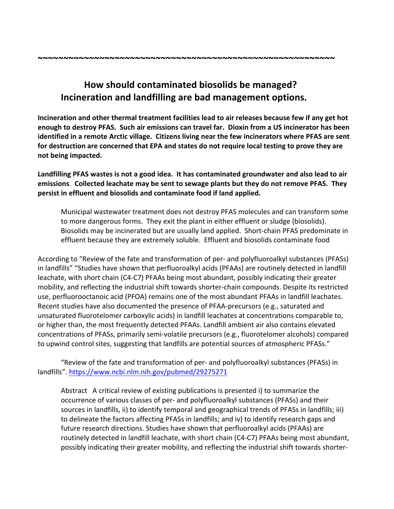### How should contaminated biosolids be managed? **Incineration and landfilling are bad management options.**

Incineration and other thermal treatment facilities lead to air releases because few if any get hot enough to destroy PFAS. Such air emissions can travel far. Dioxin from a US incinerator has been **identified in a remote Arctic village. Citizens living near the few incinerators where PFAS are sent** for destruction are concerned that EPA and states do not require local testing to prove they are **not being impacted.**

Landfilling PFAS wastes is not a good idea. It has contaminated groundwater and also lead to air emissions. Collected leachate may be sent to sewage plants but they do not remove PFAS. They persist in effluent and biosolids and contaminate food if land applied.

Municipal wastewater treatment does not destroy PFAS molecules and can transform some to more dangerous forms. They exit the plant in either effluent or sludge (biosolids). Biosolids may be incinerated but are usually land applied. Short-chain PFAS predominate in effluent because they are extremely soluble. Effluent and biosolids contaminate food

According to "Review of the fate and transformation of per- and polyfluoroalkyl substances (PFASs) in landfills" "Studies have shown that perfluoroalkyl acids (PFAAs) are routinely detected in landfill leachate, with short chain (C4-C7) PFAAs being most abundant, possibly indicating their greater mobility, and reflecting the industrial shift towards shorter-chain compounds. Despite its restricted use, perfluorooctanoic acid (PFOA) remains one of the most abundant PFAAs in landfill leachates. Recent studies have also documented the presence of PFAA-precursors (e.g., saturated and unsaturated fluorotelomer carboxylic acids) in landfill leachates at concentrations comparable to, or higher than, the most frequently detected PFAAs. Landfill ambient air also contains elevated concentrations of PFASs, primarily semi-volatile precursors (e.g., fluorotelomer alcohols) compared to upwind control sites, suggesting that landfills are potential sources of atmospheric PFASs."

"Review of the fate and transformation of per- and polyfluoroalkyl substances (PFASs) in landfills". https://www.ncbi.nlm.nih.gov/pubmed/29275271

Abstract A critical review of existing publications is presented i) to summarize the occurrence of various classes of per- and polyfluoroalkyl substances (PFASs) and their sources in landfills, ii) to identify temporal and geographical trends of PFASs in landfills; iii) to delineate the factors affecting PFASs in landfills; and iv) to identify research gaps and future research directions. Studies have shown that perfluoroalkyl acids (PFAAs) are routinely detected in landfill leachate, with short chain (C4-C7) PFAAs being most abundant, possibly indicating their greater mobility, and reflecting the industrial shift towards shorter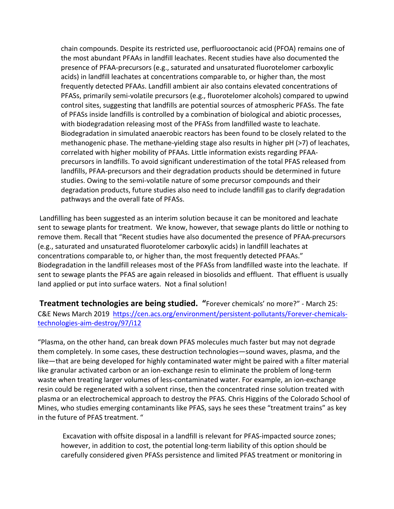chain compounds. Despite its restricted use, perfluorooctanoic acid (PFOA) remains one of the most abundant PFAAs in landfill leachates. Recent studies have also documented the presence of PFAA-precursors (e.g., saturated and unsaturated fluorotelomer carboxylic acids) in landfill leachates at concentrations comparable to, or higher than, the most frequently detected PFAAs. Landfill ambient air also contains elevated concentrations of PFASs, primarily semi-volatile precursors (e.g., fluorotelomer alcohols) compared to upwind control sites, suggesting that landfills are potential sources of atmospheric PFASs. The fate of PFASs inside landfills is controlled by a combination of biological and abiotic processes, with biodegradation releasing most of the PFASs from landfilled waste to leachate. Biodegradation in simulated anaerobic reactors has been found to be closely related to the methanogenic phase. The methane-yielding stage also results in higher  $pH$  ( $>7$ ) of leachates, correlated with higher mobility of PFAAs. Little information exists regarding PFAAprecursors in landfills. To avoid significant underestimation of the total PFAS released from landfills, PFAA-precursors and their degradation products should be determined in future studies. Owing to the semi-volatile nature of some precursor compounds and their degradation products, future studies also need to include landfill gas to clarify degradation pathways and the overall fate of PFASs.

Landfilling has been suggested as an interim solution because it can be monitored and leachate sent to sewage plants for treatment. We know, however, that sewage plants do little or nothing to remove them. Recall that "Recent studies have also documented the presence of PFAA-precursors (e.g., saturated and unsaturated fluorotelomer carboxylic acids) in landfill leachates at concentrations comparable to, or higher than, the most frequently detected PFAAs." Biodegradation in the landfill releases most of the PFASs from landfilled waste into the leachate. If sent to sewage plants the PFAS are again released in biosolids and effluent. That effluent is usually land applied or put into surface waters. Not a final solution!

**Treatment technologies are being studied.** "Forever chemicals' no more?" - March 25: C&E News March 2019 https://cen.acs.org/environment/persistent-pollutants/Forever-chemicalstechnologies-aim-destroy/97/i12

"Plasma, on the other hand, can break down PFAS molecules much faster but may not degrade them completely. In some cases, these destruction technologies—sound waves, plasma, and the like—that are being developed for highly contaminated water might be paired with a filter material like granular activated carbon or an ion-exchange resin to eliminate the problem of long-term waste when treating larger volumes of less-contaminated water. For example, an ion-exchange resin could be regenerated with a solvent rinse, then the concentrated rinse solution treated with plasma or an electrochemical approach to destroy the PFAS. Chris Higgins of the Colorado School of Mines, who studies emerging contaminants like PFAS, says he sees these "treatment trains" as key in the future of PFAS treatment. "

Excavation with offsite disposal in a landfill is relevant for PFAS-impacted source zones; however, in addition to cost, the potential long-term liability of this option should be carefully considered given PFASs persistence and limited PFAS treatment or monitoring in